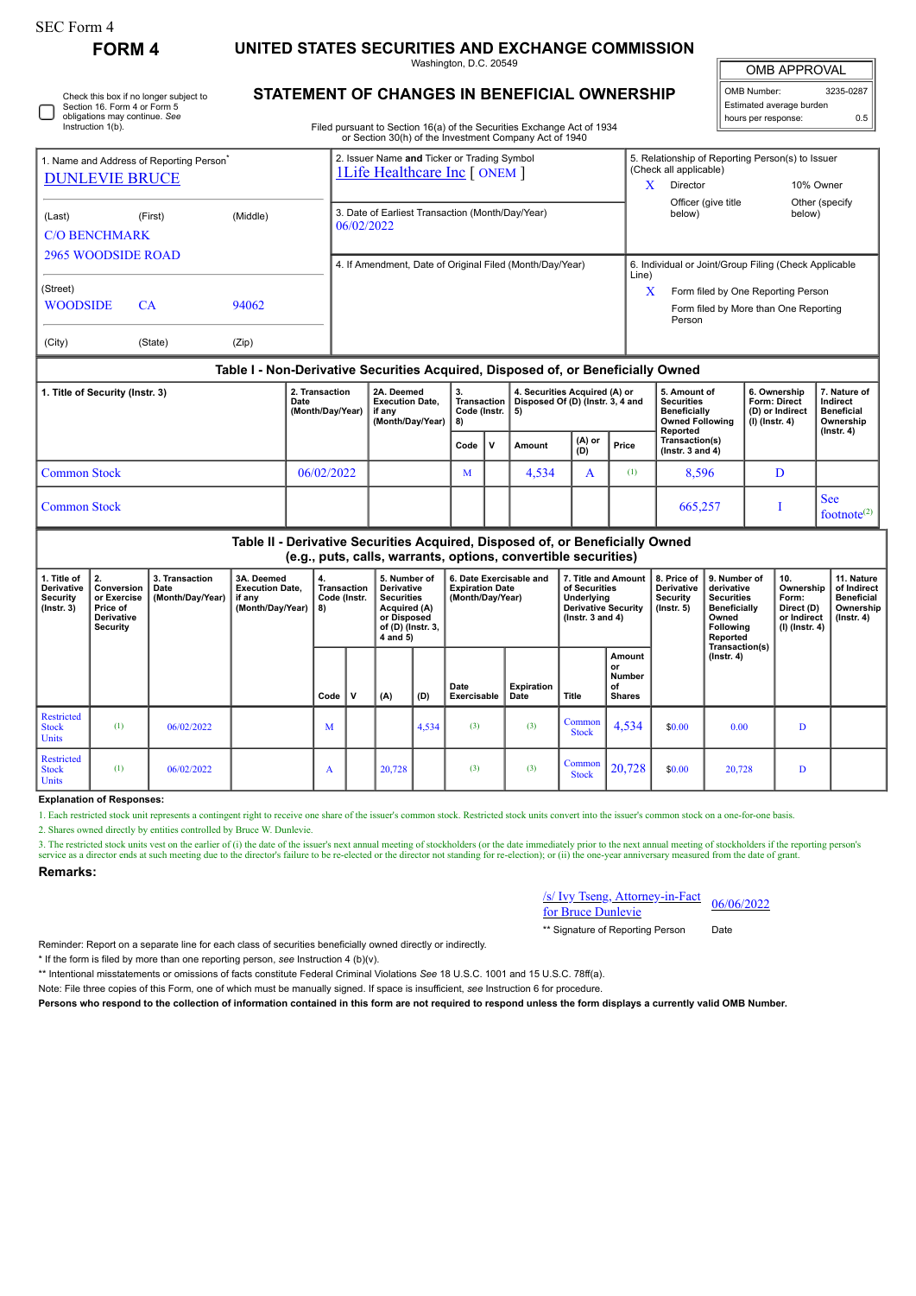| SEC Form 4 |  |
|------------|--|
|------------|--|

П

Check this box if no longer subject to Section 16. Form 4 or Form 5 obligations may continue. *See* Instruction 1(b).

**FORM 4 UNITED STATES SECURITIES AND EXCHANGE COMMISSION**

Washington, D.C. 20549 **STATEMENT OF CHANGES IN BENEFICIAL OWNERSHIP**

OMB APPROVAL

| OMB Number:              | 3235-0287 |  |  |  |  |  |  |  |  |  |
|--------------------------|-----------|--|--|--|--|--|--|--|--|--|
| Estimated average burden |           |  |  |  |  |  |  |  |  |  |
| hours per response:      | 0.5       |  |  |  |  |  |  |  |  |  |

Filed pursuant to Section 16(a) of the Securities Exchange Act of 1934 or Section 30(h) of the Investment Company Act of 1940

| 1. Name and Address of Reporting Person<br><b>DUNLEVIE BRUCE</b> |         |       | 2. Issuer Name and Ticker or Trading Symbol<br><b>1Life Healthcare Inc [ ONEM ]</b> |       | 5. Relationship of Reporting Person(s) to Issuer<br>(Check all applicable)            |                           |  |  |  |
|------------------------------------------------------------------|---------|-------|-------------------------------------------------------------------------------------|-------|---------------------------------------------------------------------------------------|---------------------------|--|--|--|
|                                                                  |         |       |                                                                                     |       | <b>Director</b>                                                                       | 10% Owner                 |  |  |  |
| (Middle)<br>(First)<br>(Last)<br><b>C/O BENCHMARK</b>            |         |       | 3. Date of Earliest Transaction (Month/Day/Year)<br>06/02/2022                      |       | Officer (give title<br>below)                                                         | Other (specify)<br>below) |  |  |  |
| <b>2965 WOODSIDE ROAD</b>                                        |         |       | 4. If Amendment, Date of Original Filed (Month/Day/Year)                            | Line) | 6. Individual or Joint/Group Filing (Check Applicable                                 |                           |  |  |  |
| (Street)<br><b>WOODSIDE</b>                                      | CA.     | 94062 |                                                                                     | X     | Form filed by One Reporting Person<br>Form filed by More than One Reporting<br>Person |                           |  |  |  |
| (City)                                                           | (State) | (Zip) |                                                                                     |       |                                                                                       |                           |  |  |  |
|                                                                  |         |       | Table I - Non-Derivative Securities Acquired, Disposed of, or Beneficially Owned    |       |                                                                                       |                           |  |  |  |

| 1. Title of Security (Instr. 3) | 2. Transaction<br>Date<br>(Month/Day/Year) | 2A. Deemed<br><b>Execution Date.</b><br>if anv<br>(Month/Dav/Year) | З.<br>Code (Instr.   5) |              | 4. Securities Acquired (A) or<br>Transaction   Disposed Of (D) (Instr. 3, 4 and |                 |       | 5. Amount of<br><b>Securities</b><br><b>Beneficially</b><br><b>Owned Following</b><br>Reported | 6. Ownership<br>Form: Direct<br>(D) or Indirect<br>(I) (Instr. 4) | 7. Nature of<br>Indirect<br><b>Beneficial</b><br>Ownership<br>$($ lnstr. 4 $)$ |
|---------------------------------|--------------------------------------------|--------------------------------------------------------------------|-------------------------|--------------|---------------------------------------------------------------------------------|-----------------|-------|------------------------------------------------------------------------------------------------|-------------------------------------------------------------------|--------------------------------------------------------------------------------|
|                                 |                                            |                                                                    | Code                    | $\mathbf{v}$ | Amount                                                                          | $(A)$ or<br>(D) | Price | Transaction(s)<br>$($ Instr. 3 and 4 $)$                                                       |                                                                   |                                                                                |
| Common Stock                    | 06/02/2022                                 |                                                                    | M                       |              | 4,534                                                                           |                 | (1)   | 8,596                                                                                          |                                                                   |                                                                                |
| Common Stock                    |                                            |                                                                    |                         |              |                                                                                 |                 |       | 665,257                                                                                        |                                                                   | <b>See</b><br>footnote <sup><math>(2)</math></sup>                             |

|                                                                  | Table II - Derivative Securities Acquired, Disposed of, or Beneficially Owned<br>(e.g., puts, calls, warrants, options, convertible securities) |                                            |                                                                    |                                          |   |                                                                                                                        |       |                                                                                                                                                                                   |                    |                                                            |                                                                                                          |                                                                          |                                                                                 |   |  |
|------------------------------------------------------------------|-------------------------------------------------------------------------------------------------------------------------------------------------|--------------------------------------------|--------------------------------------------------------------------|------------------------------------------|---|------------------------------------------------------------------------------------------------------------------------|-------|-----------------------------------------------------------------------------------------------------------------------------------------------------------------------------------|--------------------|------------------------------------------------------------|----------------------------------------------------------------------------------------------------------|--------------------------------------------------------------------------|---------------------------------------------------------------------------------|---|--|
| 1. Title of<br>Derivative<br><b>Security</b><br>$($ Instr. 3 $)$ | Conversion<br>or Exercise<br>Price of<br>Derivative<br>Security                                                                                 | 3. Transaction<br>Date<br>(Month/Day/Year) | 3A. Deemed<br><b>Execution Date.</b><br>if any<br>(Month/Day/Year) | <b>Transaction</b><br>Code (Instr.<br>8) |   | 5. Number of<br><b>Derivative</b><br><b>Securities</b><br>Acquired (A)<br>or Disposed<br>of (D) (Instr. 3,<br>4 and 5) |       | 7. Title and Amount<br>6. Date Exercisable and<br><b>Expiration Date</b><br>of Securities<br>(Month/Day/Year)<br>Underlying<br><b>Derivative Security</b><br>( $lnstr. 3 and 4$ ) |                    | 8. Price of<br><b>Derivative</b><br>Security<br>(Instr. 5) | 9. Number of<br>derivative<br><b>Securities</b><br>Beneficially<br>Owned<br><b>Following</b><br>Reported | 10.<br>Ownership<br>Form:<br>Direct (D)<br>or Indirect<br>(I) (Instr. 4) | 11. Nature<br>of Indirect<br><b>Beneficial</b><br>Ownership<br>$($ lnstr. 4 $)$ |   |  |
|                                                                  |                                                                                                                                                 |                                            |                                                                    | Code                                     | v | (A)                                                                                                                    | (D)   | Date<br>Exercisable                                                                                                                                                               | Expiration<br>Date | Title                                                      | Amount<br>or<br><b>Number</b><br>οf<br><b>Shares</b>                                                     |                                                                          | Transaction(s)<br>$($ lnstr. 4 $)$                                              |   |  |
| Restricted<br><b>Stock</b><br><b>Units</b>                       | (1)                                                                                                                                             | 06/02/2022                                 |                                                                    | M                                        |   |                                                                                                                        | 4,534 | (3)                                                                                                                                                                               | (3)                | Common<br><b>Stock</b>                                     | 4,534                                                                                                    | \$0.00                                                                   | 0.00                                                                            | D |  |
| Restricted<br><b>Stock</b><br><b>Units</b>                       | (1)                                                                                                                                             | 06/02/2022                                 |                                                                    | A                                        |   | 20,728                                                                                                                 |       | (3)                                                                                                                                                                               | (3)                | Common<br><b>Stock</b>                                     | 20,728                                                                                                   | \$0.00                                                                   | 20,728                                                                          | D |  |

## **Explanation of Responses:**

1. Each restricted stock unit represents a contingent right to receive one share of the issuer's common stock. Restricted stock units convert into the issuer's common stock on a one-for-one basis.

2. Shares owned directly by entities controlled by Bruce W. Dunlevie.

3. The restricted stock units vest on the earlier of (i) the date of the issuer's next annual meeting of stockholders (or the date immediately prior to the next annual meeting of stockholders if the reporting person's serv

**Remarks:**

/s/ Ivy Tseng, Attorney-in-Fact  $\frac{(s)}{10}$  S/ Ly 1seng, Attorney-in-Fact 06/06/2022

\*\* Signature of Reporting Person Date

Reminder: Report on a separate line for each class of securities beneficially owned directly or indirectly.

\* If the form is filed by more than one reporting person, *see* Instruction 4 (b)(v).

\*\* Intentional misstatements or omissions of facts constitute Federal Criminal Violations *See* 18 U.S.C. 1001 and 15 U.S.C. 78ff(a).

Note: File three copies of this Form, one of which must be manually signed. If space is insufficient, *see* Instruction 6 for procedure.

**Persons who respond to the collection of information contained in this form are not required to respond unless the form displays a currently valid OMB Number.**